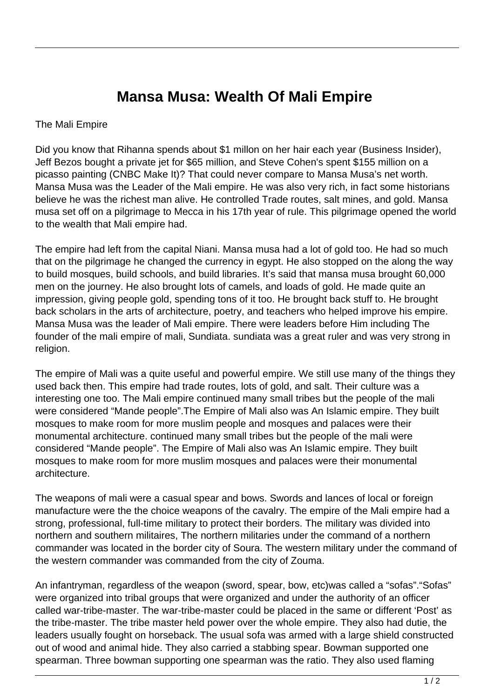## **Mansa Musa: Wealth Of Mali Empire**

## The Mali Empire

Did you know that Rihanna spends about \$1 millon on her hair each year (Business Insider), Jeff Bezos bought a private jet for \$65 million, and Steve Cohen's spent \$155 million on a picasso painting (CNBC Make It)? That could never compare to Mansa Musa's net worth. Mansa Musa was the Leader of the Mali empire. He was also very rich, in fact some historians believe he was the richest man alive. He controlled Trade routes, salt mines, and gold. Mansa musa set off on a pilgrimage to Mecca in his 17th year of rule. This pilgrimage opened the world to the wealth that Mali empire had.

The empire had left from the capital Niani. Mansa musa had a lot of gold too. He had so much that on the pilgrimage he changed the currency in egypt. He also stopped on the along the way to build mosques, build schools, and build libraries. It's said that mansa musa brought 60,000 men on the journey. He also brought lots of camels, and loads of gold. He made quite an impression, giving people gold, spending tons of it too. He brought back stuff to. He brought back scholars in the arts of architecture, poetry, and teachers who helped improve his empire. Mansa Musa was the leader of Mali empire. There were leaders before Him including The founder of the mali empire of mali, Sundiata. sundiata was a great ruler and was very strong in religion.

The empire of Mali was a quite useful and powerful empire. We still use many of the things they used back then. This empire had trade routes, lots of gold, and salt. Their culture was a interesting one too. The Mali empire continued many small tribes but the people of the mali were considered "Mande people".The Empire of Mali also was An Islamic empire. They built mosques to make room for more muslim people and mosques and palaces were their monumental architecture. continued many small tribes but the people of the mali were considered "Mande people". The Empire of Mali also was An Islamic empire. They built mosques to make room for more muslim mosques and palaces were their monumental architecture.

The weapons of mali were a casual spear and bows. Swords and lances of local or foreign manufacture were the the choice weapons of the cavalry. The empire of the Mali empire had a strong, professional, full-time military to protect their borders. The military was divided into northern and southern militaires, The northern militaries under the command of a northern commander was located in the border city of Soura. The western military under the command of the western commander was commanded from the city of Zouma.

An infantryman, regardless of the weapon (sword, spear, bow, etc)was called a "sofas"."Sofas" were organized into tribal groups that were organized and under the authority of an officer called war-tribe-master. The war-tribe-master could be placed in the same or different 'Post' as the tribe-master. The tribe master held power over the whole empire. They also had dutie, the leaders usually fought on horseback. The usual sofa was armed with a large shield constructed out of wood and animal hide. They also carried a stabbing spear. Bowman supported one spearman. Three bowman supporting one spearman was the ratio. They also used flaming